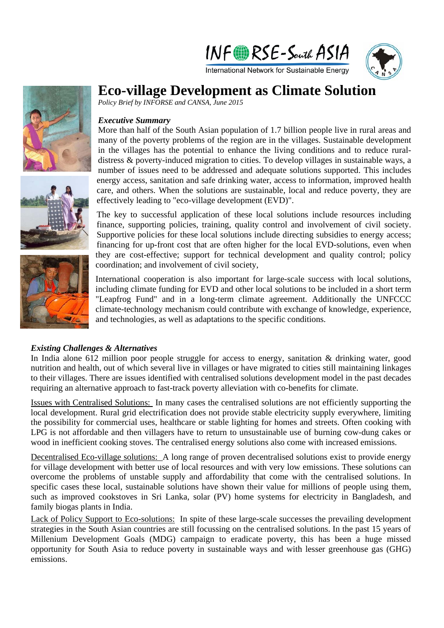



# **Eco-village Development as Climate Solution**

*Policy Brief by INFORSE and CANSA, June 2015* 

### *Executive Summary*

More than half of the South Asian population of 1.7 billion people live in rural areas and many of the poverty problems of the region are in the villages. Sustainable development in the villages has the potential to enhance the living conditions and to reduce ruraldistress & poverty-induced migration to cities. To develop villages in sustainable ways, a number of issues need to be addressed and adequate solutions supported. This includes energy access, sanitation and safe drinking water, access to information, improved health care, and others. When the solutions are sustainable, local and reduce poverty, they are effectively leading to "eco-village development (EVD)".

The key to successful application of these local solutions include resources including finance, supporting policies, training, quality control and involvement of civil society. Supportive policies for these local solutions include directing subsidies to energy access; financing for up-front cost that are often higher for the local EVD-solutions, even when they are cost-effective; support for technical development and quality control; policy coordination; and involvement of civil society,

International cooperation is also important for large-scale success with local solutions, including climate funding for EVD and other local solutions to be included in a short term "Leapfrog Fund" and in a long-term climate agreement. Additionally the UNFCCC climate-technology mechanism could contribute with exchange of knowledge, experience, and technologies, as well as adaptations to the specific conditions.

### *Existing Challenges & Alternatives*

In India alone 612 million poor people struggle for access to energy, sanitation & drinking water, good nutrition and health, out of which several live in villages or have migrated to cities still maintaining linkages to their villages. There are issues identified with centralised solutions development model in the past decades requiring an alternative approach to fast-track poverty alleviation with co-benefits for climate.

Issues with Centralised Solutions: In many cases the centralised solutions are not efficiently supporting the local development. Rural grid electrification does not provide stable electricity supply everywhere, limiting the possibility for commercial uses, healthcare or stable lighting for homes and streets. Often cooking with LPG is not affordable and then villagers have to return to unsustainable use of burning cow-dung cakes or wood in inefficient cooking stoves. The centralised energy solutions also come with increased emissions.

Decentralised Eco-village solutions: A long range of proven decentralised solutions exist to provide energy for village development with better use of local resources and with very low emissions. These solutions can overcome the problems of unstable supply and affordability that come with the centralised solutions. In specific cases these local, sustainable solutions have shown their value for millions of people using them, such as improved cookstoves in Sri Lanka, solar (PV) home systems for electricity in Bangladesh, and family biogas plants in India.

Lack of Policy Support to Eco-solutions: In spite of these large-scale successes the prevailing development strategies in the South Asian countries are still focussing on the centralised solutions. In the past 15 years of Millenium Development Goals (MDG) campaign to eradicate poverty, this has been a huge missed opportunity for South Asia to reduce poverty in sustainable ways and with lesser greenhouse gas (GHG) emissions.





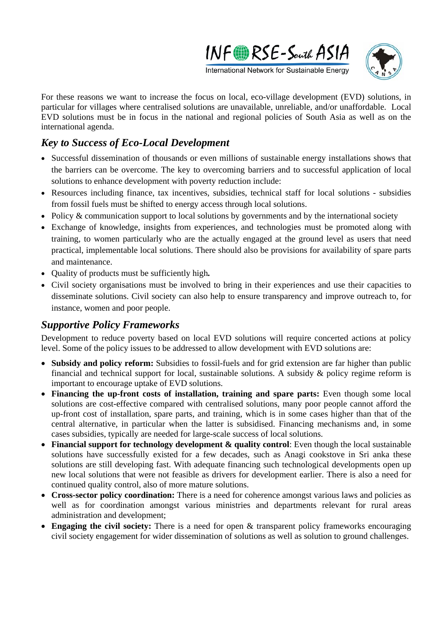



For these reasons we want to increase the focus on local, eco-village development (EVD) solutions, in particular for villages where centralised solutions are unavailable, unreliable, and/or unaffordable. Local EVD solutions must be in focus in the national and regional policies of South Asia as well as on the international agenda.

# *Key to Success of Eco-Local Development*

- Successful dissemination of thousands or even millions of sustainable energy installations shows that the barriers can be overcome. The key to overcoming barriers and to successful application of local solutions to enhance development with poverty reduction include:
- Resources including finance, tax incentives, subsidies, technical staff for local solutions subsidies from fossil fuels must be shifted to energy access through local solutions.
- Policy  $&$  communication support to local solutions by governments and by the international society
- Exchange of knowledge, insights from experiences, and technologies must be promoted along with training, to women particularly who are the actually engaged at the ground level as users that need practical, implementable local solutions. There should also be provisions for availability of spare parts and maintenance.
- Quality of products must be sufficiently high*.*
- Civil society organisations must be involved to bring in their experiences and use their capacities to disseminate solutions. Civil society can also help to ensure transparency and improve outreach to, for instance, women and poor people.

### *Supportive Policy Frameworks*

Development to reduce poverty based on local EVD solutions will require concerted actions at policy level. Some of the policy issues to be addressed to allow development with EVD solutions are:

- **Subsidy and policy reform:** Subsidies to fossil-fuels and for grid extension are far higher than public financial and technical support for local, sustainable solutions. A subsidy  $\&$  policy regime reform is important to encourage uptake of EVD solutions.
- **Financing the up-front costs of installation, training and spare parts:** Even though some local solutions are cost-effective compared with centralised solutions, many poor people cannot afford the up-front cost of installation, spare parts, and training, which is in some cases higher than that of the central alternative, in particular when the latter is subsidised. Financing mechanisms and, in some cases subsidies, typically are needed for large-scale success of local solutions.
- **Financial support for technology development & quality control**: Even though the local sustainable solutions have successfully existed for a few decades, such as Anagi cookstove in Sri anka these solutions are still developing fast. With adequate financing such technological developments open up new local solutions that were not feasible as drivers for development earlier. There is also a need for continued quality control, also of more mature solutions.
- **Cross-sector policy coordination:** There is a need for coherence amongst various laws and policies as well as for coordination amongst various ministries and departments relevant for rural areas administration and development;
- **Engaging the civil society:** There is a need for open & transparent policy frameworks encouraging civil society engagement for wider dissemination of solutions as well as solution to ground challenges.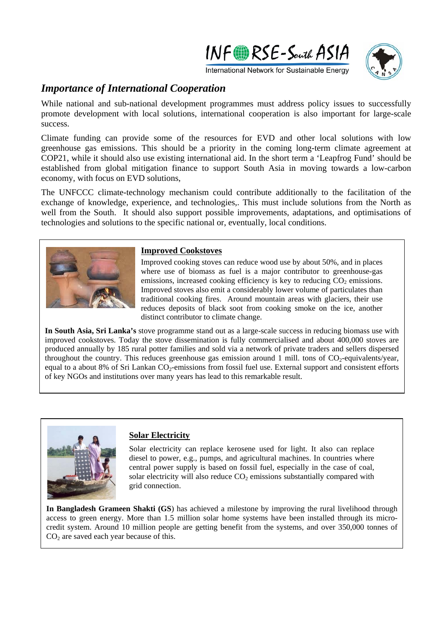



International Network for Sustainable Energy

## *Importance of International Cooperation*

While national and sub-national development programmes must address policy issues to successfully promote development with local solutions, international cooperation is also important for large-scale success.

Climate funding can provide some of the resources for EVD and other local solutions with low greenhouse gas emissions. This should be a priority in the coming long-term climate agreement at COP21, while it should also use existing international aid. In the short term a 'Leapfrog Fund' should be established from global mitigation finance to support South Asia in moving towards a low-carbon economy, with focus on EVD solutions,

The UNFCCC climate-technology mechanism could contribute additionally to the facilitation of the exchange of knowledge, experience, and technologies,. This must include solutions from the North as well from the South. It should also support possible improvements, adaptations, and optimisations of technologies and solutions to the specific national or, eventually, local conditions.



#### **Improved Cookstoves**

Improved cooking stoves can reduce wood use by about 50%, and in places where use of biomass as fuel is a major contributor to greenhouse-gas emissions, increased cooking efficiency is key to reducing  $CO<sub>2</sub>$  emissions. Improved stoves also emit a considerably lower volume of particulates than traditional cooking fires. Around mountain areas with glaciers, their use reduces deposits of black soot from cooking smoke on the ice, another distinct contributor to climate change.

**In South Asia, Sri Lanka's** stove programme stand out as a large-scale success in reducing biomass use with improved cookstoves. Today the stove dissemination is fully commercialised and about 400,000 stoves are produced annually by 185 rural potter families and sold via a network of private traders and sellers dispersed throughout the country. This reduces greenhouse gas emission around 1 mill, tons of  $CO<sub>2</sub>$ -equivalents/year, equal to a about 8% of Sri Lankan CO<sub>2</sub>-emissions from fossil fuel use. External support and consistent efforts of key NGOs and institutions over many years has lead to this remarkable result.



#### **Solar Electricity**

Solar electricity can replace kerosene used for light. It also can replace diesel to power, e.g., pumps, and agricultural machines. In countries where central power supply is based on fossil fuel, especially in the case of coal, solar electricity will also reduce  $CO<sub>2</sub>$  emissions substantially compared with grid connection.

**In Bangladesh Grameen Shakti (GS**) has achieved a milestone by improving the rural livelihood through access to green energy. More than 1.5 million solar home systems have been installed through its microcredit system. Around 10 million people are getting benefit from the systems, and over 350,000 tonnes of  $CO<sub>2</sub>$  are saved each year because of this.